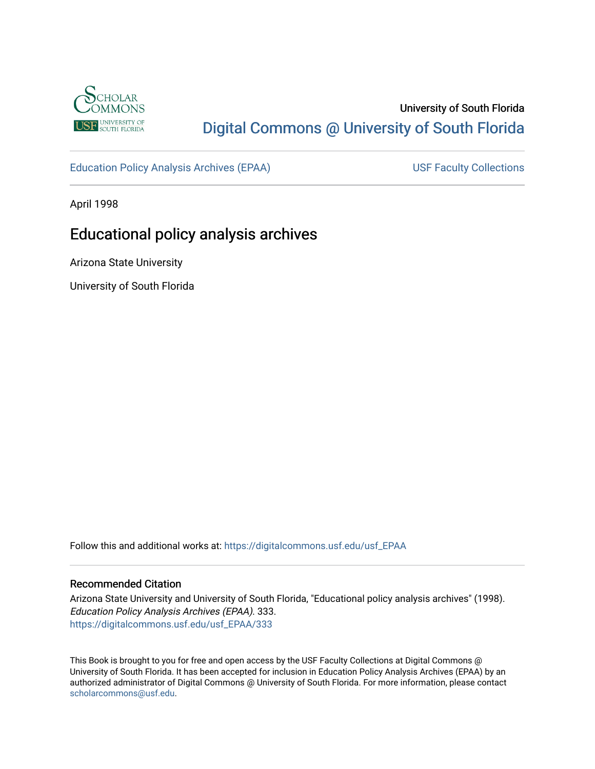

# University of South Florida [Digital Commons @ University of South Florida](https://digitalcommons.usf.edu/)

[Education Policy Analysis Archives \(EPAA\)](https://digitalcommons.usf.edu/usf_EPAA) USF Faculty Collections

April 1998

# Educational policy analysis archives

Arizona State University

University of South Florida

Follow this and additional works at: [https://digitalcommons.usf.edu/usf\\_EPAA](https://digitalcommons.usf.edu/usf_EPAA?utm_source=digitalcommons.usf.edu%2Fusf_EPAA%2F333&utm_medium=PDF&utm_campaign=PDFCoverPages)

#### Recommended Citation

Arizona State University and University of South Florida, "Educational policy analysis archives" (1998). Education Policy Analysis Archives (EPAA). 333. [https://digitalcommons.usf.edu/usf\\_EPAA/333](https://digitalcommons.usf.edu/usf_EPAA/333?utm_source=digitalcommons.usf.edu%2Fusf_EPAA%2F333&utm_medium=PDF&utm_campaign=PDFCoverPages)

This Book is brought to you for free and open access by the USF Faculty Collections at Digital Commons @ University of South Florida. It has been accepted for inclusion in Education Policy Analysis Archives (EPAA) by an authorized administrator of Digital Commons @ University of South Florida. For more information, please contact [scholarcommons@usf.edu.](mailto:scholarcommons@usf.edu)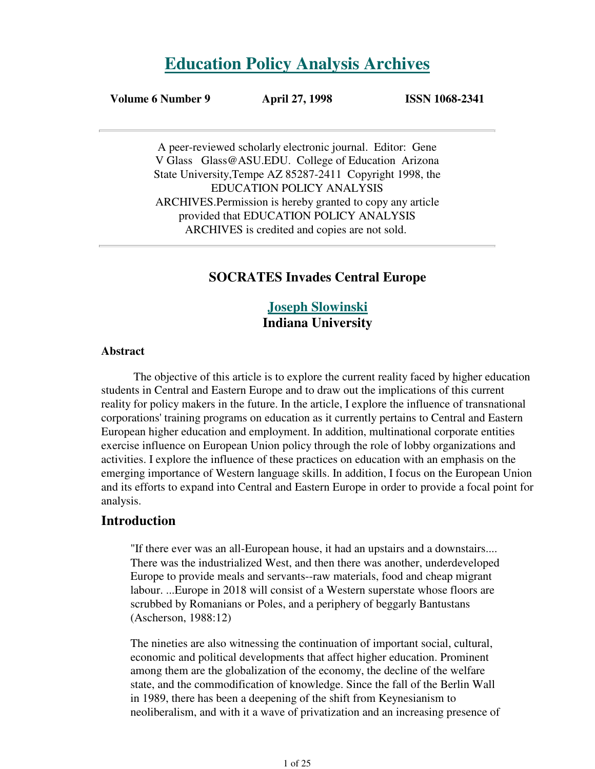# **Education Policy Analysis Archives**

### **Volume 6 Number 9 April 27, 1998 ISSN 1068-2341**

A peer-reviewed scholarly electronic journal. Editor: Gene V Glass Glass@ASU.EDU. College of Education Arizona State University,Tempe AZ 85287-2411 Copyright 1998, the EDUCATION POLICY ANALYSIS ARCHIVES.Permission is hereby granted to copy any article provided that EDUCATION POLICY ANALYSIS ARCHIVES is credited and copies are not sold.

## **SOCRATES Invades Central Europe**

**Joseph Slowinski Indiana University**

#### **Abstract**

 The objective of this article is to explore the current reality faced by higher education students in Central and Eastern Europe and to draw out the implications of this current reality for policy makers in the future. In the article, I explore the influence of transnational corporations' training programs on education as it currently pertains to Central and Eastern European higher education and employment. In addition, multinational corporate entities exercise influence on European Union policy through the role of lobby organizations and activities. I explore the influence of these practices on education with an emphasis on the emerging importance of Western language skills. In addition, I focus on the European Union and its efforts to expand into Central and Eastern Europe in order to provide a focal point for analysis.

#### **Introduction**

"If there ever was an all-European house, it had an upstairs and a downstairs.... There was the industrialized West, and then there was another, underdeveloped Europe to provide meals and servants--raw materials, food and cheap migrant labour. ...Europe in 2018 will consist of a Western superstate whose floors are scrubbed by Romanians or Poles, and a periphery of beggarly Bantustans (Ascherson, 1988:12)

The nineties are also witnessing the continuation of important social, cultural, economic and political developments that affect higher education. Prominent among them are the globalization of the economy, the decline of the welfare state, and the commodification of knowledge. Since the fall of the Berlin Wall in 1989, there has been a deepening of the shift from Keynesianism to neoliberalism, and with it a wave of privatization and an increasing presence of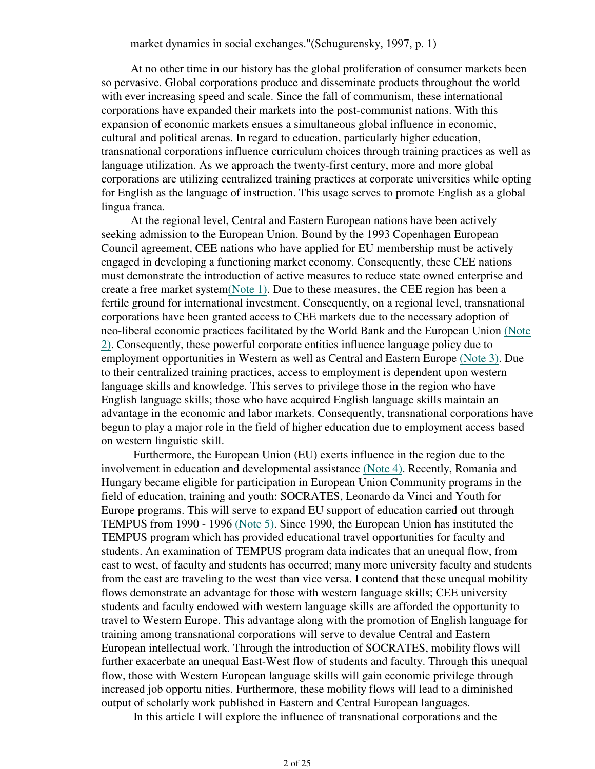At no other time in our history has the global proliferation of consumer markets been so pervasive. Global corporations produce and disseminate products throughout the world with ever increasing speed and scale. Since the fall of communism, these international corporations have expanded their markets into the post-communist nations. With this expansion of economic markets ensues a simultaneous global influence in economic, cultural and political arenas. In regard to education, particularly higher education, transnational corporations influence curriculum choices through training practices as well as language utilization. As we approach the twenty-first century, more and more global corporations are utilizing centralized training practices at corporate universities while opting for English as the language of instruction. This usage serves to promote English as a global lingua franca.

At the regional level, Central and Eastern European nations have been actively seeking admission to the European Union. Bound by the 1993 Copenhagen European Council agreement, CEE nations who have applied for EU membership must be actively engaged in developing a functioning market economy. Consequently, these CEE nations must demonstrate the introduction of active measures to reduce state owned enterprise and create a free market system(Note 1). Due to these measures, the CEE region has been a fertile ground for international investment. Consequently, on a regional level, transnational corporations have been granted access to CEE markets due to the necessary adoption of neo-liberal economic practices facilitated by the World Bank and the European Union (Note 2). Consequently, these powerful corporate entities influence language policy due to employment opportunities in Western as well as Central and Eastern Europe (Note 3). Due to their centralized training practices, access to employment is dependent upon western language skills and knowledge. This serves to privilege those in the region who have English language skills; those who have acquired English language skills maintain an advantage in the economic and labor markets. Consequently, transnational corporations have begun to play a major role in the field of higher education due to employment access based on western linguistic skill.

 Furthermore, the European Union (EU) exerts influence in the region due to the involvement in education and developmental assistance (Note 4). Recently, Romania and Hungary became eligible for participation in European Union Community programs in the field of education, training and youth: SOCRATES, Leonardo da Vinci and Youth for Europe programs. This will serve to expand EU support of education carried out through TEMPUS from 1990 - 1996 (Note 5). Since 1990, the European Union has instituted the TEMPUS program which has provided educational travel opportunities for faculty and students. An examination of TEMPUS program data indicates that an unequal flow, from east to west, of faculty and students has occurred; many more university faculty and students from the east are traveling to the west than vice versa. I contend that these unequal mobility flows demonstrate an advantage for those with western language skills; CEE university students and faculty endowed with western language skills are afforded the opportunity to travel to Western Europe. This advantage along with the promotion of English language for training among transnational corporations will serve to devalue Central and Eastern European intellectual work. Through the introduction of SOCRATES, mobility flows will further exacerbate an unequal East-West flow of students and faculty. Through this unequal flow, those with Western European language skills will gain economic privilege through increased job opportu nities. Furthermore, these mobility flows will lead to a diminished output of scholarly work published in Eastern and Central European languages.

In this article I will explore the influence of transnational corporations and the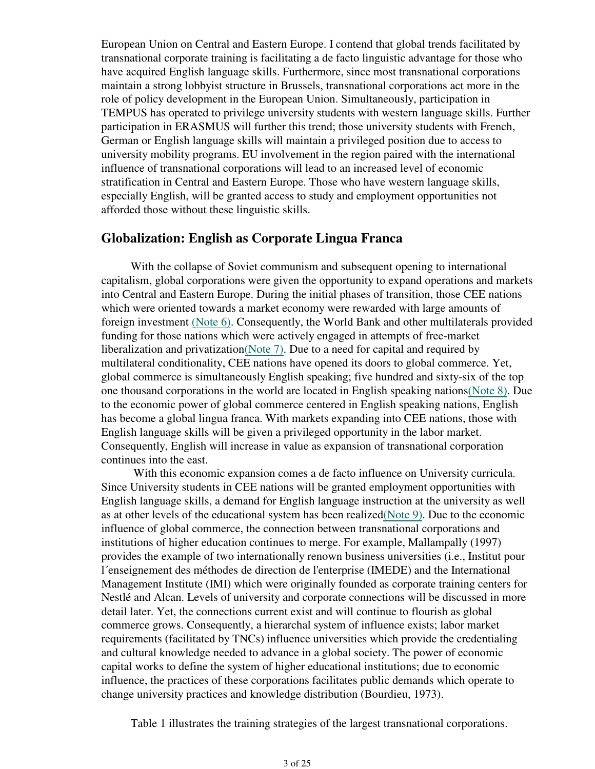European Union on Central and Eastern Europe. I contend that global trends facilitated by transnational corporate training is facilitating a de facto linguistic advantage for those who have acquired English language skills. Furthermore, since most transnational corporations maintain a strong lobbyist structure in Brussels, transnational corporations act more in the role of policy development in the European Union. Simultaneously, participation in TEMPUS has operated to privilege university students with western language skills. Further participation in ERASMUS will further this trend; those university students with French, German or English language skills will maintain a privileged position due to access to university mobility programs. EU involvement in the region paired with the international influence of transnational corporations will lead to an increased level of economic stratification in Central and Eastern Europe. Those who have western language skills, especially English, will be granted access to study and employment opportunities not afforded those without these linguistic skills.

## **Globalization: English as Corporate Lingua Franca**

With the collapse of Soviet communism and subsequent opening to international capitalism, global corporations were given the opportunity to expand operations and markets into Central and Eastern Europe. During the initial phases of transition, those CEE nations which were oriented towards a market economy were rewarded with large amounts of foreign investment (Note 6). Consequently, the World Bank and other multilaterals provided funding for those nations which were actively engaged in attempts of free-market liberalization and privatization(Note 7). Due to a need for capital and required by multilateral conditionality, CEE nations have opened its doors to global commerce. Yet, global commerce is simultaneously English speaking; five hundred and sixty-six of the top one thousand corporations in the world are located in English speaking nations(Note 8). Due to the economic power of global commerce centered in English speaking nations, English has become a global lingua franca. With markets expanding into CEE nations, those with English language skills will be given a privileged opportunity in the labor market. Consequently, English will increase in value as expansion of transnational corporation continues into the east.

 With this economic expansion comes a de facto influence on University curricula. Since University students in CEE nations will be granted employment opportunities with English language skills, a demand for English language instruction at the university as well as at other levels of the educational system has been realized(Note 9). Due to the economic influence of global commerce, the connection between transnational corporations and institutions of higher education continues to merge. For example, Mallampally (1997) provides the example of two internationally renown business universities (i.e., Institut pour l´enseignement des méthodes de direction de l'enterprise (IMEDE) and the International Management Institute (IMI) which were originally founded as corporate training centers for Nestlé and Alcan. Levels of university and corporate connections will be discussed in more detail later. Yet, the connections current exist and will continue to flourish as global commerce grows. Consequently, a hierarchal system of influence exists; labor market requirements (facilitated by TNCs) influence universities which provide the credentialing and cultural knowledge needed to advance in a global society. The power of economic capital works to define the system of higher educational institutions; due to economic influence, the practices of these corporations facilitates public demands which operate to change university practices and knowledge distribution (Bourdieu, 1973).

Table 1 illustrates the training strategies of the largest transnational corporations.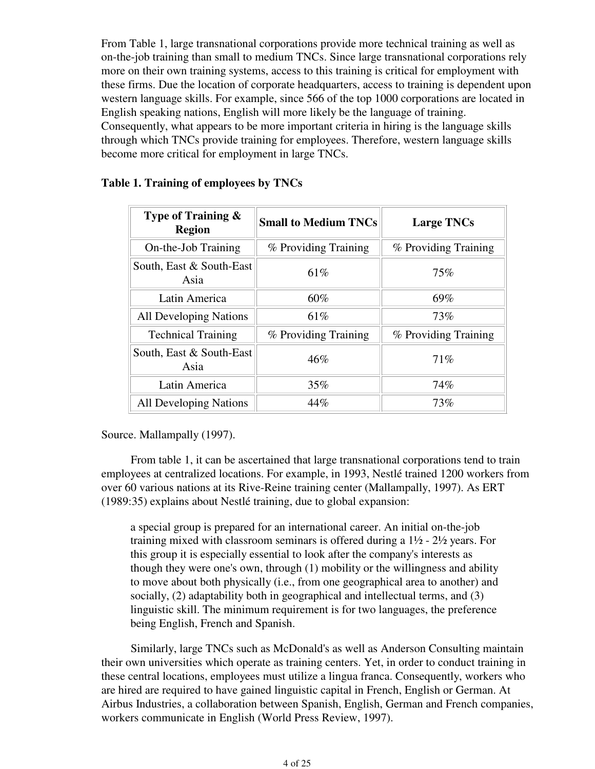From Table 1, large transnational corporations provide more technical training as well as on-the-job training than small to medium TNCs. Since large transnational corporations rely more on their own training systems, access to this training is critical for employment with these firms. Due the location of corporate headquarters, access to training is dependent upon western language skills. For example, since 566 of the top 1000 corporations are located in English speaking nations, English will more likely be the language of training. Consequently, what appears to be more important criteria in hiring is the language skills through which TNCs provide training for employees. Therefore, western language skills become more critical for employment in large TNCs.

#### **Table 1. Training of employees by TNCs**

| Type of Training $\&$<br><b>Region</b> | <b>Small to Medium TNCs</b> | <b>Large TNCs</b>    |
|----------------------------------------|-----------------------------|----------------------|
| On-the-Job Training                    | % Providing Training        | % Providing Training |
| South, East & South-East<br>Asia       | 61\%                        | $75\%$               |
| Latin America                          | 60%                         | 69%                  |
| <b>All Developing Nations</b>          | 61%                         | 73%                  |
| <b>Technical Training</b>              | % Providing Training        | % Providing Training |
| South, East & South-East<br>Asia       | 46%                         | 71%                  |
| Latin America                          | 35%                         | 74%                  |
| <b>All Developing Nations</b>          | 44%                         | 73%                  |

#### Source. Mallampally (1997).

From table 1, it can be ascertained that large transnational corporations tend to train employees at centralized locations. For example, in 1993, Nestlé trained 1200 workers from over 60 various nations at its Rive-Reine training center (Mallampally, 1997). As ERT (1989:35) explains about Nestlé training, due to global expansion:

a special group is prepared for an international career. An initial on-the-job training mixed with classroom seminars is offered during a  $1\frac{1}{2}$  -  $2\frac{1}{2}$  years. For this group it is especially essential to look after the company's interests as though they were one's own, through (1) mobility or the willingness and ability to move about both physically (i.e., from one geographical area to another) and socially, (2) adaptability both in geographical and intellectual terms, and (3) linguistic skill. The minimum requirement is for two languages, the preference being English, French and Spanish.

Similarly, large TNCs such as McDonald's as well as Anderson Consulting maintain their own universities which operate as training centers. Yet, in order to conduct training in these central locations, employees must utilize a lingua franca. Consequently, workers who are hired are required to have gained linguistic capital in French, English or German. At Airbus Industries, a collaboration between Spanish, English, German and French companies, workers communicate in English (World Press Review, 1997).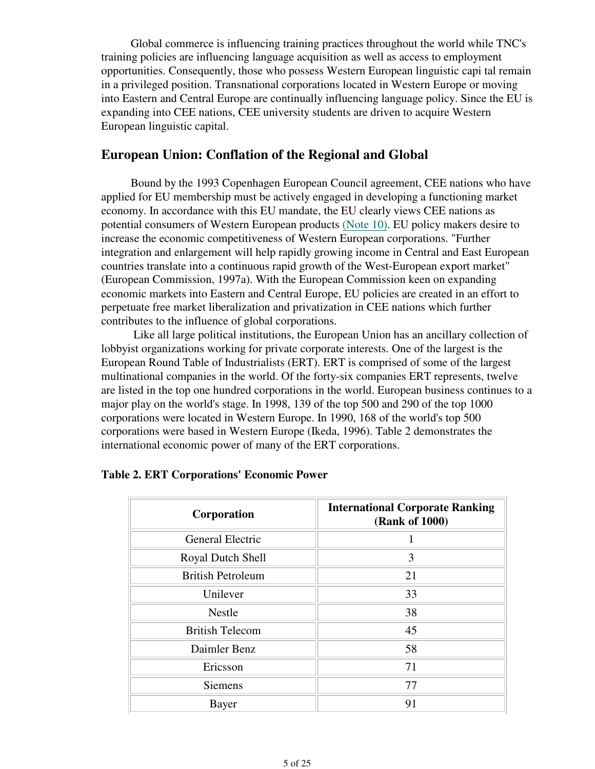Global commerce is influencing training practices throughout the world while TNC's training policies are influencing language acquisition as well as access to employment opportunities. Consequently, those who possess Western European linguistic capi tal remain in a privileged position. Transnational corporations located in Western Europe or moving into Eastern and Central Europe are continually influencing language policy. Since the EU is expanding into CEE nations, CEE university students are driven to acquire Western European linguistic capital.

## **European Union: Conflation of the Regional and Global**

Bound by the 1993 Copenhagen European Council agreement, CEE nations who have applied for EU membership must be actively engaged in developing a functioning market economy. In accordance with this EU mandate, the EU clearly views CEE nations as potential consumers of Western European products (Note 10). EU policy makers desire to increase the economic competitiveness of Western European corporations. "Further integration and enlargement will help rapidly growing income in Central and East European countries translate into a continuous rapid growth of the West-European export market" (European Commission, 1997a). With the European Commission keen on expanding economic markets into Eastern and Central Europe, EU policies are created in an effort to perpetuate free market liberalization and privatization in CEE nations which further contributes to the influence of global corporations.

 Like all large political institutions, the European Union has an ancillary collection of lobbyist organizations working for private corporate interests. One of the largest is the European Round Table of Industrialists (ERT). ERT is comprised of some of the largest multinational companies in the world. Of the forty-six companies ERT represents, twelve are listed in the top one hundred corporations in the world. European business continues to a major play on the world's stage. In 1998, 139 of the top 500 and 290 of the top 1000 corporations were located in Western Europe. In 1990, 168 of the world's top 500 corporations were based in Western Europe (Ikeda, 1996). Table 2 demonstrates the international economic power of many of the ERT corporations.

| Corporation              | <b>International Corporate Ranking</b><br>(Rank of 1000) |
|--------------------------|----------------------------------------------------------|
| General Electric         |                                                          |
| Royal Dutch Shell        | 3                                                        |
| <b>British Petroleum</b> | 21                                                       |
| Unilever                 | 33                                                       |
| <b>Nestle</b>            | 38                                                       |
| <b>British Telecom</b>   | 45                                                       |
| Daimler Benz             | 58                                                       |
| Ericsson                 | 71                                                       |
| <b>Siemens</b>           | 77                                                       |
| Bayer                    | 91                                                       |

#### **Table 2. ERT Corporations' Economic Power**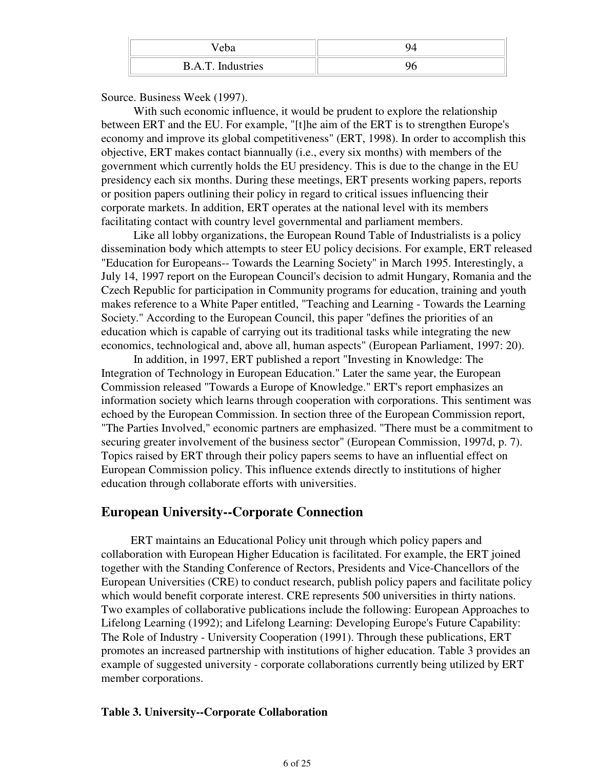| <b>B.A.T.</b> Industries |  |
|--------------------------|--|

Source. Business Week (1997).

 With such economic influence, it would be prudent to explore the relationship between ERT and the EU. For example, "[t]he aim of the ERT is to strengthen Europe's economy and improve its global competitiveness" (ERT, 1998). In order to accomplish this objective, ERT makes contact biannually (i.e., every six months) with members of the government which currently holds the EU presidency. This is due to the change in the EU presidency each six months. During these meetings, ERT presents working papers, reports or position papers outlining their policy in regard to critical issues influencing their corporate markets. In addition, ERT operates at the national level with its members facilitating contact with country level governmental and parliament members.

 Like all lobby organizations, the European Round Table of Industrialists is a policy dissemination body which attempts to steer EU policy decisions. For example, ERT released "Education for Europeans-- Towards the Learning Society" in March 1995. Interestingly, a July 14, 1997 report on the European Council's decision to admit Hungary, Romania and the Czech Republic for participation in Community programs for education, training and youth makes reference to a White Paper entitled, "Teaching and Learning - Towards the Learning Society." According to the European Council, this paper "defines the priorities of an education which is capable of carrying out its traditional tasks while integrating the new economics, technological and, above all, human aspects" (European Parliament, 1997: 20).

 In addition, in 1997, ERT published a report "Investing in Knowledge: The Integration of Technology in European Education." Later the same year, the European Commission released "Towards a Europe of Knowledge." ERT's report emphasizes an information society which learns through cooperation with corporations. This sentiment was echoed by the European Commission. In section three of the European Commission report, "The Parties Involved," economic partners are emphasized. "There must be a commitment to securing greater involvement of the business sector" (European Commission, 1997d, p. 7). Topics raised by ERT through their policy papers seems to have an influential effect on European Commission policy. This influence extends directly to institutions of higher education through collaborate efforts with universities.

# **European University--Corporate Connection**

ERT maintains an Educational Policy unit through which policy papers and collaboration with European Higher Education is facilitated. For example, the ERT joined together with the Standing Conference of Rectors, Presidents and Vice-Chancellors of the European Universities (CRE) to conduct research, publish policy papers and facilitate policy which would benefit corporate interest. CRE represents 500 universities in thirty nations. Two examples of collaborative publications include the following: European Approaches to Lifelong Learning (1992); and Lifelong Learning: Developing Europe's Future Capability: The Role of Industry - University Cooperation (1991). Through these publications, ERT promotes an increased partnership with institutions of higher education. Table 3 provides an example of suggested university - corporate collaborations currently being utilized by ERT member corporations.

## **Table 3. University--Corporate Collaboration**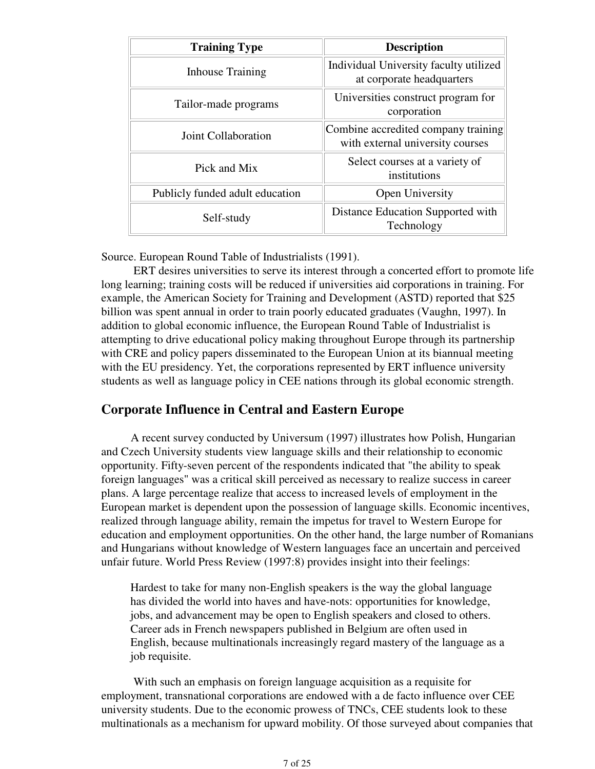| <b>Training Type</b>            | <b>Description</b>                                                      |  |
|---------------------------------|-------------------------------------------------------------------------|--|
| <b>Inhouse Training</b>         | Individual University faculty utilized<br>at corporate headquarters     |  |
| Tailor-made programs            | Universities construct program for<br>corporation                       |  |
| Joint Collaboration             | Combine accredited company training<br>with external university courses |  |
| Pick and Mix                    | Select courses at a variety of<br>institutions                          |  |
| Publicly funded adult education | Open University                                                         |  |
| Self-study                      | Distance Education Supported with<br>Technology                         |  |

Source. European Round Table of Industrialists (1991).

 ERT desires universities to serve its interest through a concerted effort to promote life long learning; training costs will be reduced if universities aid corporations in training. For example, the American Society for Training and Development (ASTD) reported that \$25 billion was spent annual in order to train poorly educated graduates (Vaughn, 1997). In addition to global economic influence, the European Round Table of Industrialist is attempting to drive educational policy making throughout Europe through its partnership with CRE and policy papers disseminated to the European Union at its biannual meeting with the EU presidency. Yet, the corporations represented by ERT influence university students as well as language policy in CEE nations through its global economic strength.

# **Corporate Influence in Central and Eastern Europe**

A recent survey conducted by Universum (1997) illustrates how Polish, Hungarian and Czech University students view language skills and their relationship to economic opportunity. Fifty-seven percent of the respondents indicated that "the ability to speak foreign languages" was a critical skill perceived as necessary to realize success in career plans. A large percentage realize that access to increased levels of employment in the European market is dependent upon the possession of language skills. Economic incentives, realized through language ability, remain the impetus for travel to Western Europe for education and employment opportunities. On the other hand, the large number of Romanians and Hungarians without knowledge of Western languages face an uncertain and perceived unfair future. World Press Review (1997:8) provides insight into their feelings:

Hardest to take for many non-English speakers is the way the global language has divided the world into haves and have-nots: opportunities for knowledge, jobs, and advancement may be open to English speakers and closed to others. Career ads in French newspapers published in Belgium are often used in English, because multinationals increasingly regard mastery of the language as a job requisite.

 With such an emphasis on foreign language acquisition as a requisite for employment, transnational corporations are endowed with a de facto influence over CEE university students. Due to the economic prowess of TNCs, CEE students look to these multinationals as a mechanism for upward mobility. Of those surveyed about companies that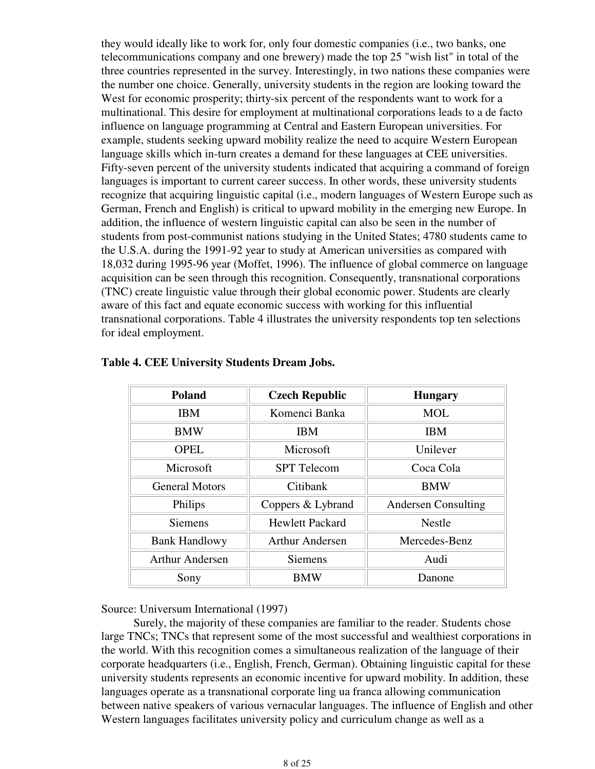they would ideally like to work for, only four domestic companies (i.e., two banks, one telecommunications company and one brewery) made the top 25 "wish list" in total of the three countries represented in the survey. Interestingly, in two nations these companies were the number one choice. Generally, university students in the region are looking toward the West for economic prosperity; thirty-six percent of the respondents want to work for a multinational. This desire for employment at multinational corporations leads to a de facto influence on language programming at Central and Eastern European universities. For example, students seeking upward mobility realize the need to acquire Western European language skills which in-turn creates a demand for these languages at CEE universities. Fifty-seven percent of the university students indicated that acquiring a command of foreign languages is important to current career success. In other words, these university students recognize that acquiring linguistic capital (i.e., modern languages of Western Europe such as German, French and English) is critical to upward mobility in the emerging new Europe. In addition, the influence of western linguistic capital can also be seen in the number of students from post-communist nations studying in the United States; 4780 students came to the U.S.A. during the 1991-92 year to study at American universities as compared with 18,032 during 1995-96 year (Moffet, 1996). The influence of global commerce on language acquisition can be seen through this recognition. Consequently, transnational corporations (TNC) create linguistic value through their global economic power. Students are clearly aware of this fact and equate economic success with working for this influential transnational corporations. Table 4 illustrates the university respondents top ten selections for ideal employment.

| <b>Poland</b>          | <b>Czech Republic</b><br><b>Hungary</b> |                            |
|------------------------|-----------------------------------------|----------------------------|
| <b>IBM</b>             | Komenci Banka                           | <b>MOL</b>                 |
| <b>BMW</b>             | <b>IBM</b>                              | <b>IBM</b>                 |
| <b>OPEL</b>            | Microsoft                               | Unilever                   |
| Microsoft              | <b>SPT</b> Telecom                      | Coca Cola                  |
| <b>General Motors</b>  | Citibank                                | <b>BMW</b>                 |
| Philips                | Coppers & Lybrand                       | <b>Andersen Consulting</b> |
| <b>Siemens</b>         | <b>Hewlett Packard</b>                  | <b>Nestle</b>              |
| <b>Bank Handlowy</b>   | Arthur Andersen                         | Mercedes-Benz              |
| <b>Arthur Andersen</b> | <b>Siemens</b>                          | Audi                       |
| Sony                   | <b>BMW</b>                              | Danone                     |

#### **Table 4. CEE University Students Dream Jobs.**

Source: Universum International (1997)

 Surely, the majority of these companies are familiar to the reader. Students chose large TNCs; TNCs that represent some of the most successful and wealthiest corporations in the world. With this recognition comes a simultaneous realization of the language of their corporate headquarters (i.e., English, French, German). Obtaining linguistic capital for these university students represents an economic incentive for upward mobility. In addition, these languages operate as a transnational corporate ling ua franca allowing communication between native speakers of various vernacular languages. The influence of English and other Western languages facilitates university policy and curriculum change as well as a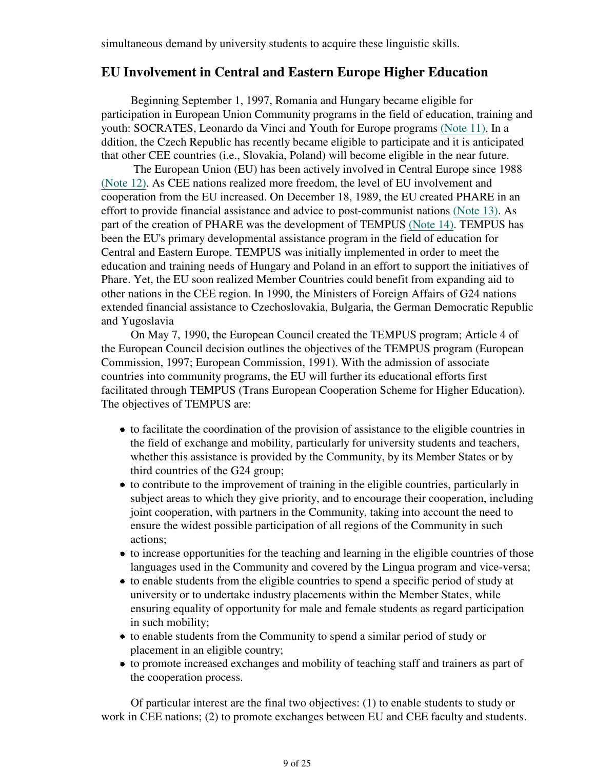# **EU Involvement in Central and Eastern Europe Higher Education**

Beginning September 1, 1997, Romania and Hungary became eligible for participation in European Union Community programs in the field of education, training and youth: SOCRATES, Leonardo da Vinci and Youth for Europe programs (Note 11). In a ddition, the Czech Republic has recently became eligible to participate and it is anticipated that other CEE countries (i.e., Slovakia, Poland) will become eligible in the near future.

 The European Union (EU) has been actively involved in Central Europe since 1988 (Note 12). As CEE nations realized more freedom, the level of EU involvement and cooperation from the EU increased. On December 18, 1989, the EU created PHARE in an effort to provide financial assistance and advice to post-communist nations (Note 13). As part of the creation of PHARE was the development of TEMPUS (Note 14). TEMPUS has been the EU's primary developmental assistance program in the field of education for Central and Eastern Europe. TEMPUS was initially implemented in order to meet the education and training needs of Hungary and Poland in an effort to support the initiatives of Phare. Yet, the EU soon realized Member Countries could benefit from expanding aid to other nations in the CEE region. In 1990, the Ministers of Foreign Affairs of G24 nations extended financial assistance to Czechoslovakia, Bulgaria, the German Democratic Republic and Yugoslavia

On May 7, 1990, the European Council created the TEMPUS program; Article 4 of the European Council decision outlines the objectives of the TEMPUS program (European Commission, 1997; European Commission, 1991). With the admission of associate countries into community programs, the EU will further its educational efforts first facilitated through TEMPUS (Trans European Cooperation Scheme for Higher Education). The objectives of TEMPUS are:

- to facilitate the coordination of the provision of assistance to the eligible countries in the field of exchange and mobility, particularly for university students and teachers, whether this assistance is provided by the Community, by its Member States or by third countries of the G24 group;
- to contribute to the improvement of training in the eligible countries, particularly in subject areas to which they give priority, and to encourage their cooperation, including joint cooperation, with partners in the Community, taking into account the need to ensure the widest possible participation of all regions of the Community in such actions;
- to increase opportunities for the teaching and learning in the eligible countries of those languages used in the Community and covered by the Lingua program and vice-versa;
- to enable students from the eligible countries to spend a specific period of study at university or to undertake industry placements within the Member States, while ensuring equality of opportunity for male and female students as regard participation in such mobility;
- to enable students from the Community to spend a similar period of study or placement in an eligible country;
- to promote increased exchanges and mobility of teaching staff and trainers as part of the cooperation process.

Of particular interest are the final two objectives: (1) to enable students to study or work in CEE nations; (2) to promote exchanges between EU and CEE faculty and students.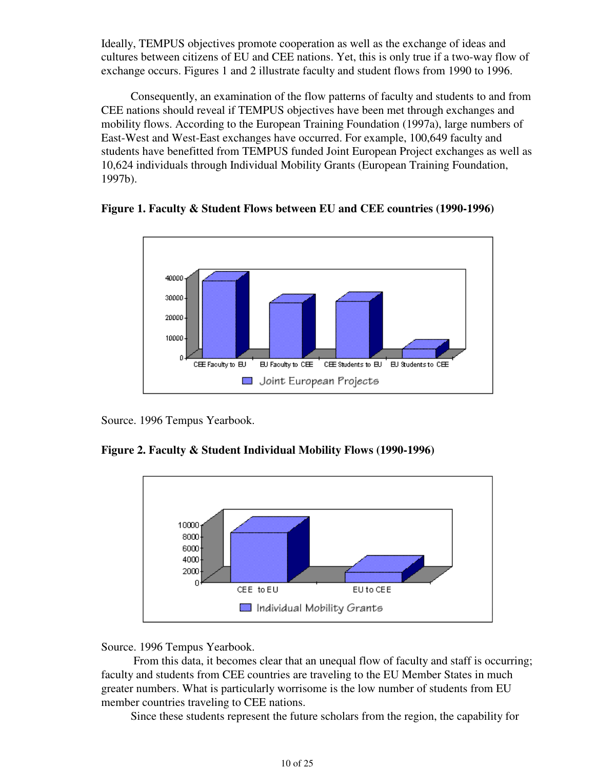Ideally, TEMPUS objectives promote cooperation as well as the exchange of ideas and cultures between citizens of EU and CEE nations. Yet, this is only true if a two-way flow of exchange occurs. Figures 1 and 2 illustrate faculty and student flows from 1990 to 1996.

Consequently, an examination of the flow patterns of faculty and students to and from CEE nations should reveal if TEMPUS objectives have been met through exchanges and mobility flows. According to the European Training Foundation (1997a), large numbers of East-West and West-East exchanges have occurred. For example, 100,649 faculty and students have benefitted from TEMPUS funded Joint European Project exchanges as well as 10,624 individuals through Individual Mobility Grants (European Training Foundation, 1997b).

#### **Figure 1. Faculty & Student Flows between EU and CEE countries (1990-1996)**



Source. 1996 Tempus Yearbook.

**Figure 2. Faculty & Student Individual Mobility Flows (1990-1996)**



Source. 1996 Tempus Yearbook.

 From this data, it becomes clear that an unequal flow of faculty and staff is occurring; faculty and students from CEE countries are traveling to the EU Member States in much greater numbers. What is particularly worrisome is the low number of students from EU member countries traveling to CEE nations.

Since these students represent the future scholars from the region, the capability for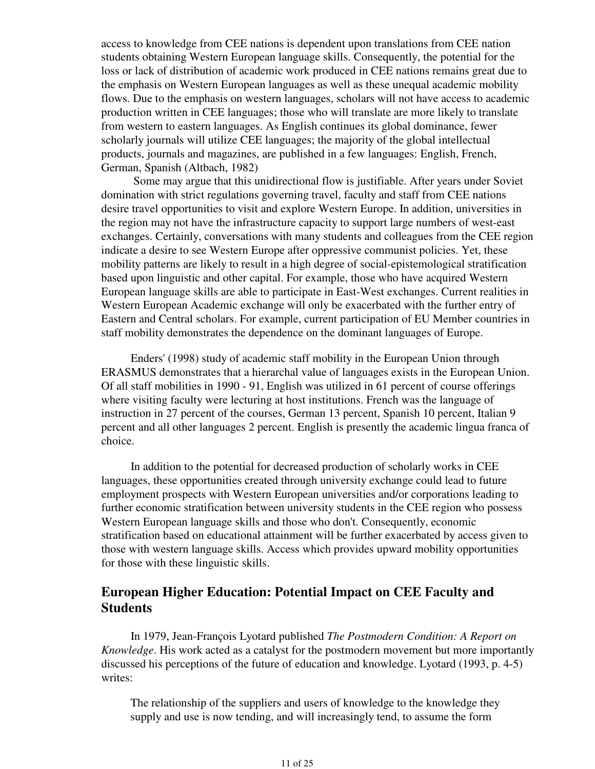access to knowledge from CEE nations is dependent upon translations from CEE nation students obtaining Western European language skills. Consequently, the potential for the loss or lack of distribution of academic work produced in CEE nations remains great due to the emphasis on Western European languages as well as these unequal academic mobility flows. Due to the emphasis on western languages, scholars will not have access to academic production written in CEE languages; those who will translate are more likely to translate from western to eastern languages. As English continues its global dominance, fewer scholarly journals will utilize CEE languages; the majority of the global intellectual products, journals and magazines, are published in a few languages: English, French, German, Spanish (Altbach, 1982)

 Some may argue that this unidirectional flow is justifiable. After years under Soviet domination with strict regulations governing travel, faculty and staff from CEE nations desire travel opportunities to visit and explore Western Europe. In addition, universities in the region may not have the infrastructure capacity to support large numbers of west-east exchanges. Certainly, conversations with many students and colleagues from the CEE region indicate a desire to see Western Europe after oppressive communist policies. Yet, these mobility patterns are likely to result in a high degree of social-epistemological stratification based upon linguistic and other capital. For example, those who have acquired Western European language skills are able to participate in East-West exchanges. Current realities in Western European Academic exchange will only be exacerbated with the further entry of Eastern and Central scholars. For example, current participation of EU Member countries in staff mobility demonstrates the dependence on the dominant languages of Europe.

Enders' (1998) study of academic staff mobility in the European Union through ERASMUS demonstrates that a hierarchal value of languages exists in the European Union. Of all staff mobilities in 1990 - 91, English was utilized in 61 percent of course offerings where visiting faculty were lecturing at host institutions. French was the language of instruction in 27 percent of the courses, German 13 percent, Spanish 10 percent, Italian 9 percent and all other languages 2 percent. English is presently the academic lingua franca of choice.

In addition to the potential for decreased production of scholarly works in CEE languages, these opportunities created through university exchange could lead to future employment prospects with Western European universities and/or corporations leading to further economic stratification between university students in the CEE region who possess Western European language skills and those who don't. Consequently, economic stratification based on educational attainment will be further exacerbated by access given to those with western language skills. Access which provides upward mobility opportunities for those with these linguistic skills.

# **European Higher Education: Potential Impact on CEE Faculty and Students**

In 1979, Jean-François Lyotard published *The Postmodern Condition: A Report on Knowledge*. His work acted as a catalyst for the postmodern movement but more importantly discussed his perceptions of the future of education and knowledge. Lyotard (1993, p. 4-5) writes:

The relationship of the suppliers and users of knowledge to the knowledge they supply and use is now tending, and will increasingly tend, to assume the form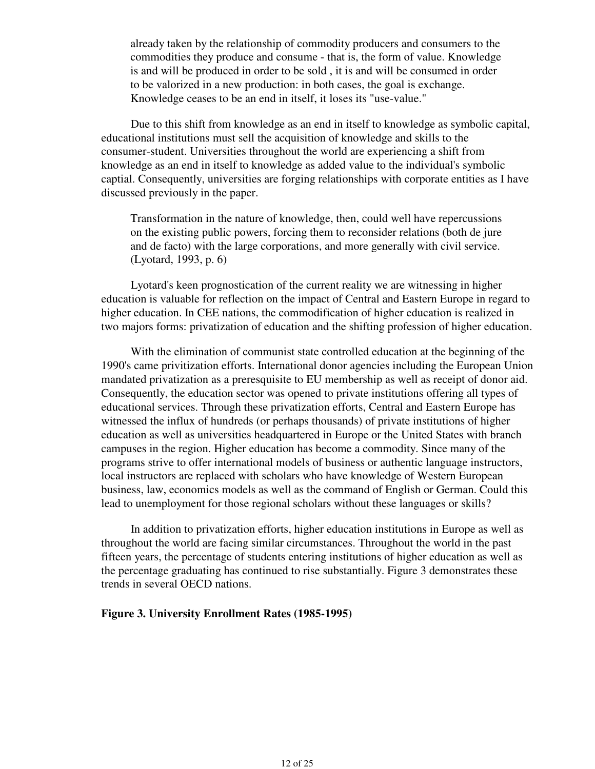already taken by the relationship of commodity producers and consumers to the commodities they produce and consume - that is, the form of value. Knowledge is and will be produced in order to be sold , it is and will be consumed in order to be valorized in a new production: in both cases, the goal is exchange. Knowledge ceases to be an end in itself, it loses its "use-value."

Due to this shift from knowledge as an end in itself to knowledge as symbolic capital, educational institutions must sell the acquisition of knowledge and skills to the consumer-student. Universities throughout the world are experiencing a shift from knowledge as an end in itself to knowledge as added value to the individual's symbolic captial. Consequently, universities are forging relationships with corporate entities as I have discussed previously in the paper.

Transformation in the nature of knowledge, then, could well have repercussions on the existing public powers, forcing them to reconsider relations (both de jure and de facto) with the large corporations, and more generally with civil service. (Lyotard, 1993, p. 6)

Lyotard's keen prognostication of the current reality we are witnessing in higher education is valuable for reflection on the impact of Central and Eastern Europe in regard to higher education. In CEE nations, the commodification of higher education is realized in two majors forms: privatization of education and the shifting profession of higher education.

With the elimination of communist state controlled education at the beginning of the 1990's came privitization efforts. International donor agencies including the European Union mandated privatization as a preresquisite to EU membership as well as receipt of donor aid. Consequently, the education sector was opened to private institutions offering all types of educational services. Through these privatization efforts, Central and Eastern Europe has witnessed the influx of hundreds (or perhaps thousands) of private institutions of higher education as well as universities headquartered in Europe or the United States with branch campuses in the region. Higher education has become a commodity. Since many of the programs strive to offer international models of business or authentic language instructors, local instructors are replaced with scholars who have knowledge of Western European business, law, economics models as well as the command of English or German. Could this lead to unemployment for those regional scholars without these languages or skills?

In addition to privatization efforts, higher education institutions in Europe as well as throughout the world are facing similar circumstances. Throughout the world in the past fifteen years, the percentage of students entering institutions of higher education as well as the percentage graduating has continued to rise substantially. Figure 3 demonstrates these trends in several OECD nations.

#### **Figure 3. University Enrollment Rates (1985-1995)**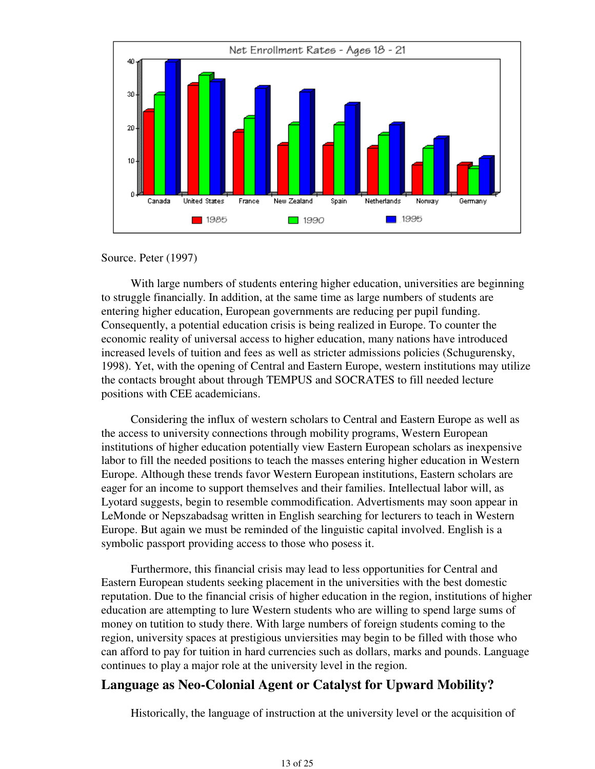

#### Source. Peter (1997)

With large numbers of students entering higher education, universities are beginning to struggle financially. In addition, at the same time as large numbers of students are entering higher education, European governments are reducing per pupil funding. Consequently, a potential education crisis is being realized in Europe. To counter the economic reality of universal access to higher education, many nations have introduced increased levels of tuition and fees as well as stricter admissions policies (Schugurensky, 1998). Yet, with the opening of Central and Eastern Europe, western institutions may utilize the contacts brought about through TEMPUS and SOCRATES to fill needed lecture positions with CEE academicians.

Considering the influx of western scholars to Central and Eastern Europe as well as the access to university connections through mobility programs, Western European institutions of higher education potentially view Eastern European scholars as inexpensive labor to fill the needed positions to teach the masses entering higher education in Western Europe. Although these trends favor Western European institutions, Eastern scholars are eager for an income to support themselves and their families. Intellectual labor will, as Lyotard suggests, begin to resemble commodification. Advertisments may soon appear in LeMonde or Nepszabadsag written in English searching for lecturers to teach in Western Europe. But again we must be reminded of the linguistic capital involved. English is a symbolic passport providing access to those who posess it.

Furthermore, this financial crisis may lead to less opportunities for Central and Eastern European students seeking placement in the universities with the best domestic reputation. Due to the financial crisis of higher education in the region, institutions of higher education are attempting to lure Western students who are willing to spend large sums of money on tutition to study there. With large numbers of foreign students coming to the region, university spaces at prestigious unviersities may begin to be filled with those who can afford to pay for tuition in hard currencies such as dollars, marks and pounds. Language continues to play a major role at the university level in the region.

# **Language as Neo-Colonial Agent or Catalyst for Upward Mobility?**

Historically, the language of instruction at the university level or the acquisition of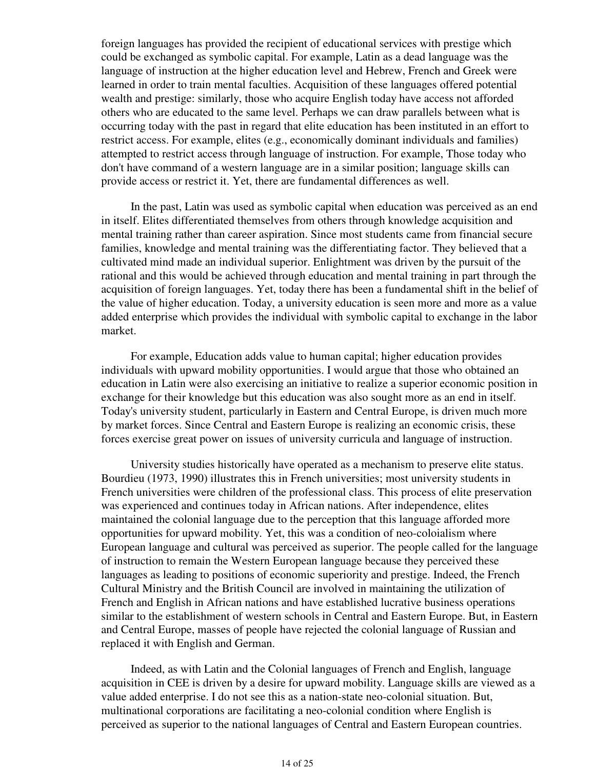foreign languages has provided the recipient of educational services with prestige which could be exchanged as symbolic capital. For example, Latin as a dead language was the language of instruction at the higher education level and Hebrew, French and Greek were learned in order to train mental faculties. Acquisition of these languages offered potential wealth and prestige: similarly, those who acquire English today have access not afforded others who are educated to the same level. Perhaps we can draw parallels between what is occurring today with the past in regard that elite education has been instituted in an effort to restrict access. For example, elites (e.g., economically dominant individuals and families) attempted to restrict access through language of instruction. For example, Those today who don't have command of a western language are in a similar position; language skills can provide access or restrict it. Yet, there are fundamental differences as well.

In the past, Latin was used as symbolic capital when education was perceived as an end in itself. Elites differentiated themselves from others through knowledge acquisition and mental training rather than career aspiration. Since most students came from financial secure families, knowledge and mental training was the differentiating factor. They believed that a cultivated mind made an individual superior. Enlightment was driven by the pursuit of the rational and this would be achieved through education and mental training in part through the acquisition of foreign languages. Yet, today there has been a fundamental shift in the belief of the value of higher education. Today, a university education is seen more and more as a value added enterprise which provides the individual with symbolic capital to exchange in the labor market.

For example, Education adds value to human capital; higher education provides individuals with upward mobility opportunities. I would argue that those who obtained an education in Latin were also exercising an initiative to realize a superior economic position in exchange for their knowledge but this education was also sought more as an end in itself. Today's university student, particularly in Eastern and Central Europe, is driven much more by market forces. Since Central and Eastern Europe is realizing an economic crisis, these forces exercise great power on issues of university curricula and language of instruction.

University studies historically have operated as a mechanism to preserve elite status. Bourdieu (1973, 1990) illustrates this in French universities; most university students in French universities were children of the professional class. This process of elite preservation was experienced and continues today in African nations. After independence, elites maintained the colonial language due to the perception that this language afforded more opportunities for upward mobility. Yet, this was a condition of neo-coloialism where European language and cultural was perceived as superior. The people called for the language of instruction to remain the Western European language because they perceived these languages as leading to positions of economic superiority and prestige. Indeed, the French Cultural Ministry and the British Council are involved in maintaining the utilization of French and English in African nations and have established lucrative business operations similar to the establishment of western schools in Central and Eastern Europe. But, in Eastern and Central Europe, masses of people have rejected the colonial language of Russian and replaced it with English and German.

Indeed, as with Latin and the Colonial languages of French and English, language acquisition in CEE is driven by a desire for upward mobility. Language skills are viewed as a value added enterprise. I do not see this as a nation-state neo-colonial situation. But, multinational corporations are facilitating a neo-colonial condition where English is perceived as superior to the national languages of Central and Eastern European countries.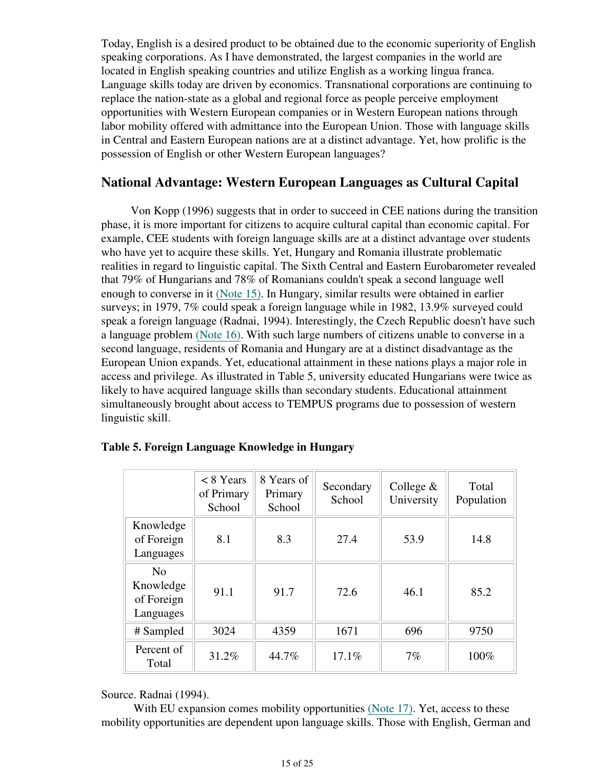Today, English is a desired product to be obtained due to the economic superiority of English speaking corporations. As I have demonstrated, the largest companies in the world are located in English speaking countries and utilize English as a working lingua franca. Language skills today are driven by economics. Transnational corporations are continuing to replace the nation-state as a global and regional force as people perceive employment opportunities with Western European companies or in Western European nations through labor mobility offered with admittance into the European Union. Those with language skills in Central and Eastern European nations are at a distinct advantage. Yet, how prolific is the possession of English or other Western European languages?

## **National Advantage: Western European Languages as Cultural Capital**

Von Kopp (1996) suggests that in order to succeed in CEE nations during the transition phase, it is more important for citizens to acquire cultural capital than economic capital. For example, CEE students with foreign language skills are at a distinct advantage over students who have yet to acquire these skills. Yet, Hungary and Romania illustrate problematic realities in regard to linguistic capital. The Sixth Central and Eastern Eurobarometer revealed that 79% of Hungarians and 78% of Romanians couldn't speak a second language well enough to converse in it (Note 15). In Hungary, similar results were obtained in earlier surveys; in 1979, 7% could speak a foreign language while in 1982, 13.9% surveyed could speak a foreign language (Radnai, 1994). Interestingly, the Czech Republic doesn't have such a language problem (Note 16). With such large numbers of citizens unable to converse in a second language, residents of Romania and Hungary are at a distinct disadvantage as the European Union expands. Yet, educational attainment in these nations plays a major role in access and privilege. As illustrated in Table 5, university educated Hungarians were twice as likely to have acquired language skills than secondary students. Educational attainment simultaneously brought about access to TEMPUS programs due to possession of western linguistic skill.

|                                                        | $< 8$ Years<br>of Primary<br>School | 8 Years of<br>Primary<br>School | Secondary<br>School | College $&$<br>University | Total<br>Population |
|--------------------------------------------------------|-------------------------------------|---------------------------------|---------------------|---------------------------|---------------------|
| Knowledge<br>of Foreign<br>Languages                   | 8.1                                 | 8.3                             | 27.4                | 53.9                      | 14.8                |
| N <sub>0</sub><br>Knowledge<br>of Foreign<br>Languages | 91.1                                | 91.7                            | 72.6                | 46.1                      | 85.2                |
| # Sampled                                              | 3024                                | 4359                            | 1671                | 696                       | 9750                |
| Percent of<br>Total                                    | 31.2%                               | 44.7%                           | 17.1%               | 7%                        | 100%                |

#### **Table 5. Foreign Language Knowledge in Hungary**

Source. Radnai (1994).

 With EU expansion comes mobility opportunities (Note 17). Yet, access to these mobility opportunities are dependent upon language skills. Those with English, German and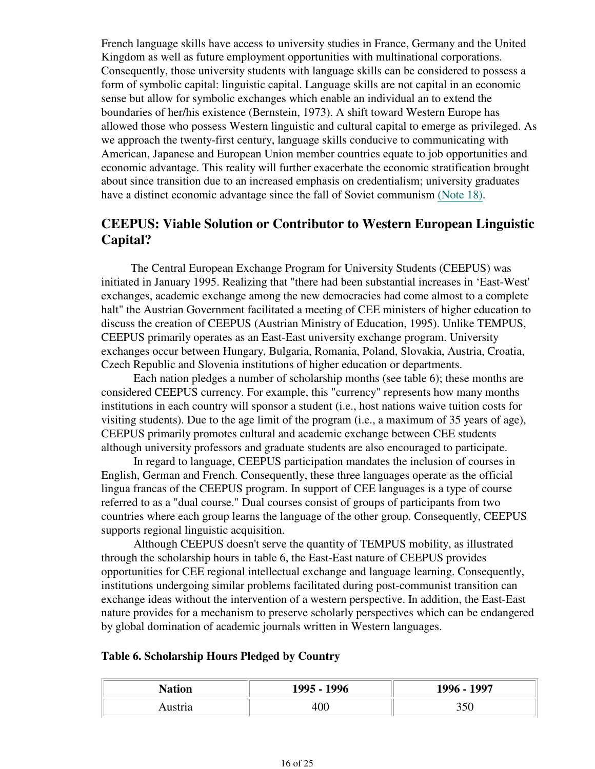French language skills have access to university studies in France, Germany and the United Kingdom as well as future employment opportunities with multinational corporations. Consequently, those university students with language skills can be considered to possess a form of symbolic capital: linguistic capital. Language skills are not capital in an economic sense but allow for symbolic exchanges which enable an individual an to extend the boundaries of her/his existence (Bernstein, 1973). A shift toward Western Europe has allowed those who possess Western linguistic and cultural capital to emerge as privileged. As we approach the twenty-first century, language skills conducive to communicating with American, Japanese and European Union member countries equate to job opportunities and economic advantage. This reality will further exacerbate the economic stratification brought about since transition due to an increased emphasis on credentialism; university graduates have a distinct economic advantage since the fall of Soviet communism (Note 18).

# **CEEPUS: Viable Solution or Contributor to Western European Linguistic Capital?**

The Central European Exchange Program for University Students (CEEPUS) was initiated in January 1995. Realizing that "there had been substantial increases in 'East-West' exchanges, academic exchange among the new democracies had come almost to a complete halt" the Austrian Government facilitated a meeting of CEE ministers of higher education to discuss the creation of CEEPUS (Austrian Ministry of Education, 1995). Unlike TEMPUS, CEEPUS primarily operates as an East-East university exchange program. University exchanges occur between Hungary, Bulgaria, Romania, Poland, Slovakia, Austria, Croatia, Czech Republic and Slovenia institutions of higher education or departments.

 Each nation pledges a number of scholarship months (see table 6); these months are considered CEEPUS currency. For example, this "currency" represents how many months institutions in each country will sponsor a student (i.e., host nations waive tuition costs for visiting students). Due to the age limit of the program (i.e., a maximum of 35 years of age), CEEPUS primarily promotes cultural and academic exchange between CEE students although university professors and graduate students are also encouraged to participate.

 In regard to language, CEEPUS participation mandates the inclusion of courses in English, German and French. Consequently, these three languages operate as the official lingua francas of the CEEPUS program. In support of CEE languages is a type of course referred to as a "dual course." Dual courses consist of groups of participants from two countries where each group learns the language of the other group. Consequently, CEEPUS supports regional linguistic acquisition.

 Although CEEPUS doesn't serve the quantity of TEMPUS mobility, as illustrated through the scholarship hours in table 6, the East-East nature of CEEPUS provides opportunities for CEE regional intellectual exchange and language learning. Consequently, institutions undergoing similar problems facilitated during post-communist transition can exchange ideas without the intervention of a western perspective. In addition, the East-East nature provides for a mechanism to preserve scholarly perspectives which can be endangered by global domination of academic journals written in Western languages.

#### **Table 6. Scholarship Hours Pledged by Country**

| <b>Nation</b> | 1995 - 1996 | 1997<br>$996 -$ |
|---------------|-------------|-----------------|
|               | ÷vu         |                 |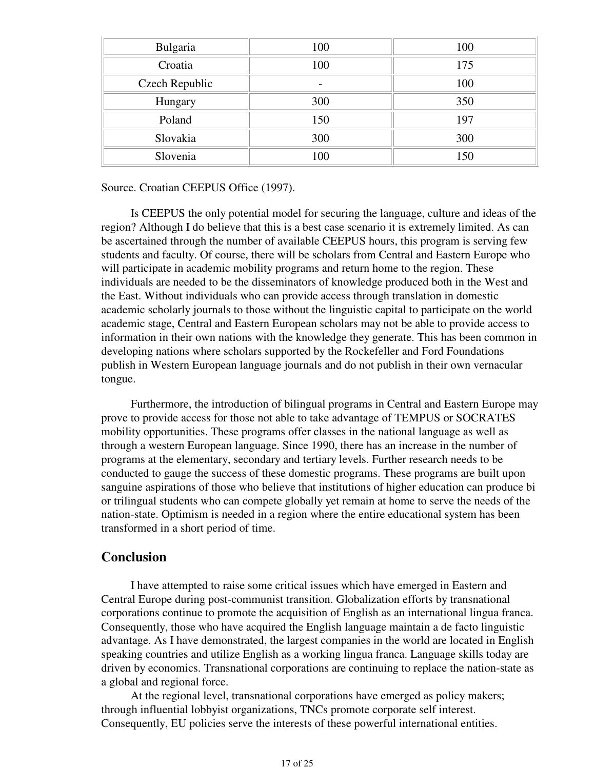| Bulgaria       | 100 | 100 |
|----------------|-----|-----|
| Croatia        | 100 | 175 |
| Czech Republic |     | 100 |
| Hungary        | 300 | 350 |
| Poland         | 150 | 197 |
| Slovakia       | 300 | 300 |
| Slovenia       | 100 | 150 |

Source. Croatian CEEPUS Office (1997).

Is CEEPUS the only potential model for securing the language, culture and ideas of the region? Although I do believe that this is a best case scenario it is extremely limited. As can be ascertained through the number of available CEEPUS hours, this program is serving few students and faculty. Of course, there will be scholars from Central and Eastern Europe who will participate in academic mobility programs and return home to the region. These individuals are needed to be the disseminators of knowledge produced both in the West and the East. Without individuals who can provide access through translation in domestic academic scholarly journals to those without the linguistic capital to participate on the world academic stage, Central and Eastern European scholars may not be able to provide access to information in their own nations with the knowledge they generate. This has been common in developing nations where scholars supported by the Rockefeller and Ford Foundations publish in Western European language journals and do not publish in their own vernacular tongue.

Furthermore, the introduction of bilingual programs in Central and Eastern Europe may prove to provide access for those not able to take advantage of TEMPUS or SOCRATES mobility opportunities. These programs offer classes in the national language as well as through a western European language. Since 1990, there has an increase in the number of programs at the elementary, secondary and tertiary levels. Further research needs to be conducted to gauge the success of these domestic programs. These programs are built upon sanguine aspirations of those who believe that institutions of higher education can produce bi or trilingual students who can compete globally yet remain at home to serve the needs of the nation-state. Optimism is needed in a region where the entire educational system has been transformed in a short period of time.

## **Conclusion**

I have attempted to raise some critical issues which have emerged in Eastern and Central Europe during post-communist transition. Globalization efforts by transnational corporations continue to promote the acquisition of English as an international lingua franca. Consequently, those who have acquired the English language maintain a de facto linguistic advantage. As I have demonstrated, the largest companies in the world are located in English speaking countries and utilize English as a working lingua franca. Language skills today are driven by economics. Transnational corporations are continuing to replace the nation-state as a global and regional force.

At the regional level, transnational corporations have emerged as policy makers; through influential lobbyist organizations, TNCs promote corporate self interest. Consequently, EU policies serve the interests of these powerful international entities.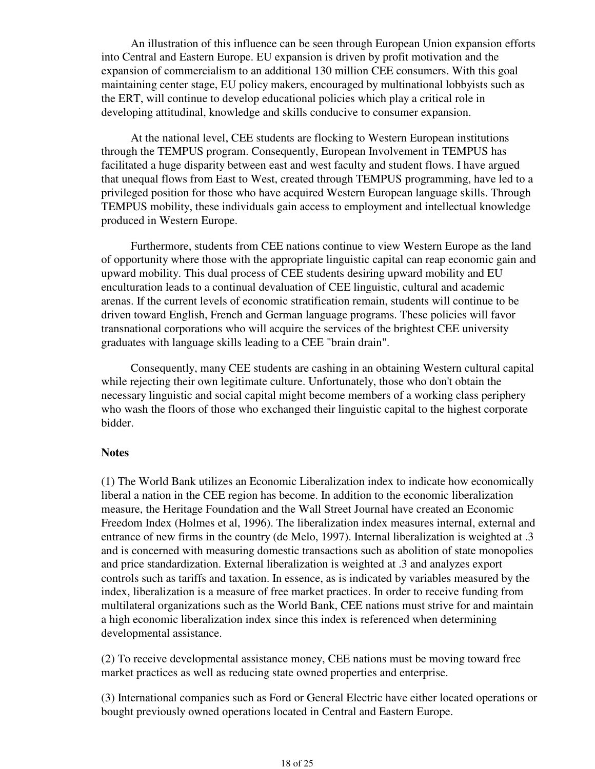An illustration of this influence can be seen through European Union expansion efforts into Central and Eastern Europe. EU expansion is driven by profit motivation and the expansion of commercialism to an additional 130 million CEE consumers. With this goal maintaining center stage, EU policy makers, encouraged by multinational lobbyists such as the ERT, will continue to develop educational policies which play a critical role in developing attitudinal, knowledge and skills conducive to consumer expansion.

At the national level, CEE students are flocking to Western European institutions through the TEMPUS program. Consequently, European Involvement in TEMPUS has facilitated a huge disparity between east and west faculty and student flows. I have argued that unequal flows from East to West, created through TEMPUS programming, have led to a privileged position for those who have acquired Western European language skills. Through TEMPUS mobility, these individuals gain access to employment and intellectual knowledge produced in Western Europe.

Furthermore, students from CEE nations continue to view Western Europe as the land of opportunity where those with the appropriate linguistic capital can reap economic gain and upward mobility. This dual process of CEE students desiring upward mobility and EU enculturation leads to a continual devaluation of CEE linguistic, cultural and academic arenas. If the current levels of economic stratification remain, students will continue to be driven toward English, French and German language programs. These policies will favor transnational corporations who will acquire the services of the brightest CEE university graduates with language skills leading to a CEE "brain drain".

Consequently, many CEE students are cashing in an obtaining Western cultural capital while rejecting their own legitimate culture. Unfortunately, those who don't obtain the necessary linguistic and social capital might become members of a working class periphery who wash the floors of those who exchanged their linguistic capital to the highest corporate bidder.

#### **Notes**

(1) The World Bank utilizes an Economic Liberalization index to indicate how economically liberal a nation in the CEE region has become. In addition to the economic liberalization measure, the Heritage Foundation and the Wall Street Journal have created an Economic Freedom Index (Holmes et al, 1996). The liberalization index measures internal, external and entrance of new firms in the country (de Melo, 1997). Internal liberalization is weighted at .3 and is concerned with measuring domestic transactions such as abolition of state monopolies and price standardization. External liberalization is weighted at .3 and analyzes export controls such as tariffs and taxation. In essence, as is indicated by variables measured by the index, liberalization is a measure of free market practices. In order to receive funding from multilateral organizations such as the World Bank, CEE nations must strive for and maintain a high economic liberalization index since this index is referenced when determining developmental assistance.

(2) To receive developmental assistance money, CEE nations must be moving toward free market practices as well as reducing state owned properties and enterprise.

(3) International companies such as Ford or General Electric have either located operations or bought previously owned operations located in Central and Eastern Europe.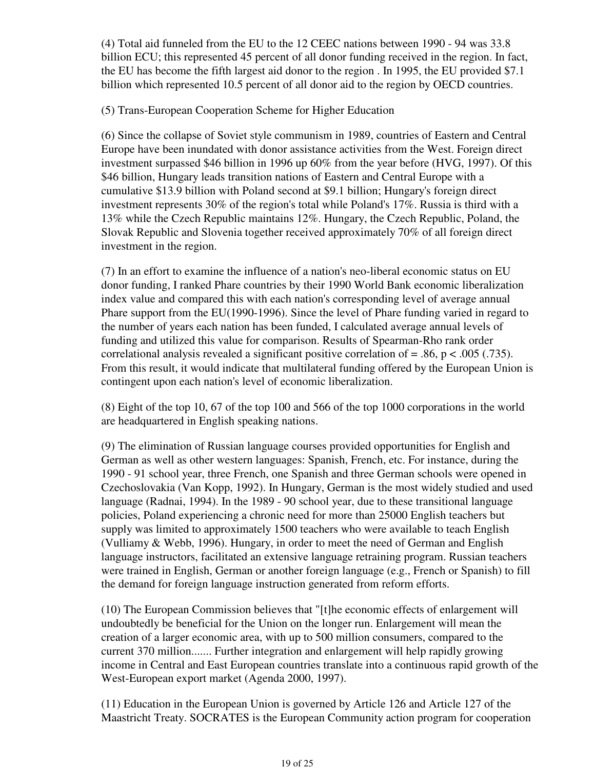(4) Total aid funneled from the EU to the 12 CEEC nations between 1990 - 94 was 33.8 billion ECU; this represented 45 percent of all donor funding received in the region. In fact, the EU has become the fifth largest aid donor to the region . In 1995, the EU provided \$7.1 billion which represented 10.5 percent of all donor aid to the region by OECD countries.

(5) Trans-European Cooperation Scheme for Higher Education

(6) Since the collapse of Soviet style communism in 1989, countries of Eastern and Central Europe have been inundated with donor assistance activities from the West. Foreign direct investment surpassed \$46 billion in 1996 up 60% from the year before (HVG, 1997). Of this \$46 billion, Hungary leads transition nations of Eastern and Central Europe with a cumulative \$13.9 billion with Poland second at \$9.1 billion; Hungary's foreign direct investment represents 30% of the region's total while Poland's 17%. Russia is third with a 13% while the Czech Republic maintains 12%. Hungary, the Czech Republic, Poland, the Slovak Republic and Slovenia together received approximately 70% of all foreign direct investment in the region.

(7) In an effort to examine the influence of a nation's neo-liberal economic status on EU donor funding, I ranked Phare countries by their 1990 World Bank economic liberalization index value and compared this with each nation's corresponding level of average annual Phare support from the EU(1990-1996). Since the level of Phare funding varied in regard to the number of years each nation has been funded, I calculated average annual levels of funding and utilized this value for comparison. Results of Spearman-Rho rank order correlational analysis revealed a significant positive correlation of  $=$  .86, p  $\lt$  .005 (.735). From this result, it would indicate that multilateral funding offered by the European Union is contingent upon each nation's level of economic liberalization.

(8) Eight of the top 10, 67 of the top 100 and 566 of the top 1000 corporations in the world are headquartered in English speaking nations.

(9) The elimination of Russian language courses provided opportunities for English and German as well as other western languages: Spanish, French, etc. For instance, during the 1990 - 91 school year, three French, one Spanish and three German schools were opened in Czechoslovakia (Van Kopp, 1992). In Hungary, German is the most widely studied and used language (Radnai, 1994). In the 1989 - 90 school year, due to these transitional language policies, Poland experiencing a chronic need for more than 25000 English teachers but supply was limited to approximately 1500 teachers who were available to teach English (Vulliamy & Webb, 1996). Hungary, in order to meet the need of German and English language instructors, facilitated an extensive language retraining program. Russian teachers were trained in English, German or another foreign language (e.g., French or Spanish) to fill the demand for foreign language instruction generated from reform efforts.

(10) The European Commission believes that "[t]he economic effects of enlargement will undoubtedly be beneficial for the Union on the longer run. Enlargement will mean the creation of a larger economic area, with up to 500 million consumers, compared to the current 370 million....... Further integration and enlargement will help rapidly growing income in Central and East European countries translate into a continuous rapid growth of the West-European export market (Agenda 2000, 1997).

(11) Education in the European Union is governed by Article 126 and Article 127 of the Maastricht Treaty. SOCRATES is the European Community action program for cooperation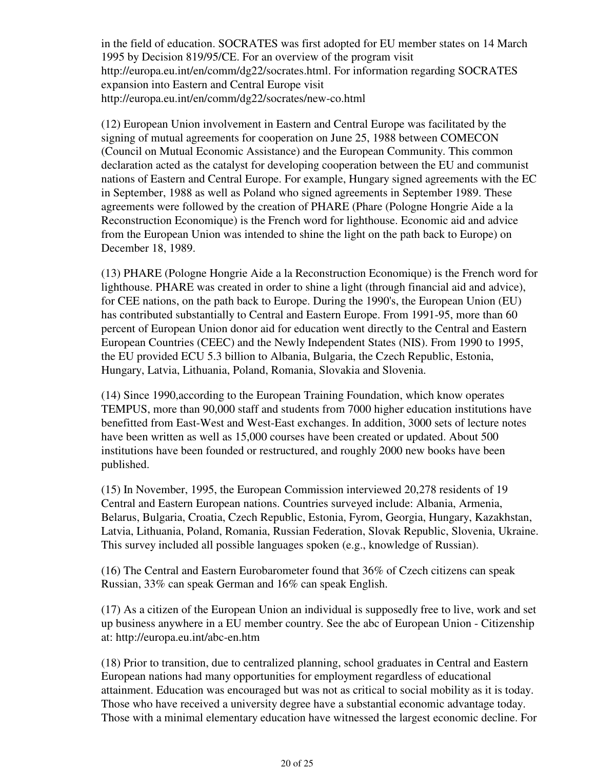in the field of education. SOCRATES was first adopted for EU member states on 14 March 1995 by Decision 819/95/CE. For an overview of the program visit http://europa.eu.int/en/comm/dg22/socrates.html. For information regarding SOCRATES expansion into Eastern and Central Europe visit http://europa.eu.int/en/comm/dg22/socrates/new-co.html

(12) European Union involvement in Eastern and Central Europe was facilitated by the signing of mutual agreements for cooperation on June 25, 1988 between COMECON (Council on Mutual Economic Assistance) and the European Community. This common declaration acted as the catalyst for developing cooperation between the EU and communist nations of Eastern and Central Europe. For example, Hungary signed agreements with the EC in September, 1988 as well as Poland who signed agreements in September 1989. These agreements were followed by the creation of PHARE (Phare (Pologne Hongrie Aide a la Reconstruction Economique) is the French word for lighthouse. Economic aid and advice from the European Union was intended to shine the light on the path back to Europe) on December 18, 1989.

(13) PHARE (Pologne Hongrie Aide a la Reconstruction Economique) is the French word for lighthouse. PHARE was created in order to shine a light (through financial aid and advice), for CEE nations, on the path back to Europe. During the 1990's, the European Union (EU) has contributed substantially to Central and Eastern Europe. From 1991-95, more than 60 percent of European Union donor aid for education went directly to the Central and Eastern European Countries (CEEC) and the Newly Independent States (NIS). From 1990 to 1995, the EU provided ECU 5.3 billion to Albania, Bulgaria, the Czech Republic, Estonia, Hungary, Latvia, Lithuania, Poland, Romania, Slovakia and Slovenia.

(14) Since 1990,according to the European Training Foundation, which know operates TEMPUS, more than 90,000 staff and students from 7000 higher education institutions have benefitted from East-West and West-East exchanges. In addition, 3000 sets of lecture notes have been written as well as 15,000 courses have been created or updated. About 500 institutions have been founded or restructured, and roughly 2000 new books have been published.

(15) In November, 1995, the European Commission interviewed 20,278 residents of 19 Central and Eastern European nations. Countries surveyed include: Albania, Armenia, Belarus, Bulgaria, Croatia, Czech Republic, Estonia, Fyrom, Georgia, Hungary, Kazakhstan, Latvia, Lithuania, Poland, Romania, Russian Federation, Slovak Republic, Slovenia, Ukraine. This survey included all possible languages spoken (e.g., knowledge of Russian).

(16) The Central and Eastern Eurobarometer found that 36% of Czech citizens can speak Russian, 33% can speak German and 16% can speak English.

(17) As a citizen of the European Union an individual is supposedly free to live, work and set up business anywhere in a EU member country. See the abc of European Union - Citizenship at: http://europa.eu.int/abc-en.htm

(18) Prior to transition, due to centralized planning, school graduates in Central and Eastern European nations had many opportunities for employment regardless of educational attainment. Education was encouraged but was not as critical to social mobility as it is today. Those who have received a university degree have a substantial economic advantage today. Those with a minimal elementary education have witnessed the largest economic decline. For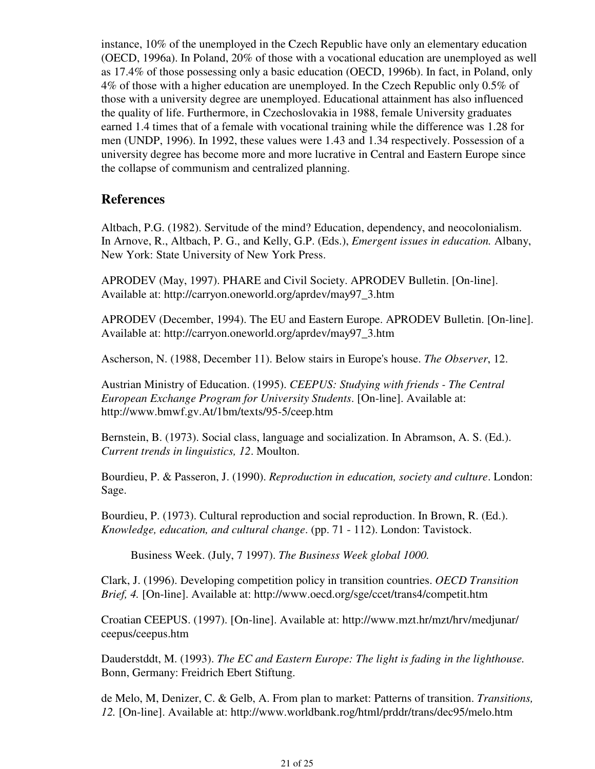instance, 10% of the unemployed in the Czech Republic have only an elementary education (OECD, 1996a). In Poland, 20% of those with a vocational education are unemployed as well as 17.4% of those possessing only a basic education (OECD, 1996b). In fact, in Poland, only 4% of those with a higher education are unemployed. In the Czech Republic only 0.5% of those with a university degree are unemployed. Educational attainment has also influenced the quality of life. Furthermore, in Czechoslovakia in 1988, female University graduates earned 1.4 times that of a female with vocational training while the difference was 1.28 for men (UNDP, 1996). In 1992, these values were 1.43 and 1.34 respectively. Possession of a university degree has become more and more lucrative in Central and Eastern Europe since the collapse of communism and centralized planning.

## **References**

Altbach, P.G. (1982). Servitude of the mind? Education, dependency, and neocolonialism. In Arnove, R., Altbach, P. G., and Kelly, G.P. (Eds.), *Emergent issues in education.* Albany, New York: State University of New York Press.

APRODEV (May, 1997). PHARE and Civil Society. APRODEV Bulletin. [On-line]. Available at: http://carryon.oneworld.org/aprdev/may97\_3.htm

APRODEV (December, 1994). The EU and Eastern Europe. APRODEV Bulletin. [On-line]. Available at: http://carryon.oneworld.org/aprdev/may97\_3.htm

Ascherson, N. (1988, December 11). Below stairs in Europe's house. *The Observer*, 12.

Austrian Ministry of Education. (1995). *CEEPUS: Studying with friends - The Central European Exchange Program for University Students*. [On-line]. Available at: http://www.bmwf.gv.At/1bm/texts/95-5/ceep.htm

Bernstein, B. (1973). Social class, language and socialization. In Abramson, A. S. (Ed.). *Current trends in linguistics, 12*. Moulton.

Bourdieu, P. & Passeron, J. (1990). *Reproduction in education, society and culture*. London: Sage.

Bourdieu, P. (1973). Cultural reproduction and social reproduction. In Brown, R. (Ed.). *Knowledge, education, and cultural change*. (pp. 71 - 112). London: Tavistock.

Business Week. (July, 7 1997). *The Business Week global 1000.*

Clark, J. (1996). Developing competition policy in transition countries. *OECD Transition Brief, 4.* [On-line]. Available at: http://www.oecd.org/sge/ccet/trans4/competit.htm

Croatian CEEPUS. (1997). [On-line]. Available at: http://www.mzt.hr/mzt/hrv/medjunar/ ceepus/ceepus.htm

Dauderstddt, M. (1993). *The EC and Eastern Europe: The light is fading in the lighthouse.* Bonn, Germany: Freidrich Ebert Stiftung.

de Melo, M, Denizer, C. & Gelb, A. From plan to market: Patterns of transition. *Transitions, 12.* [On-line]. Available at: http://www.worldbank.rog/html/prddr/trans/dec95/melo.htm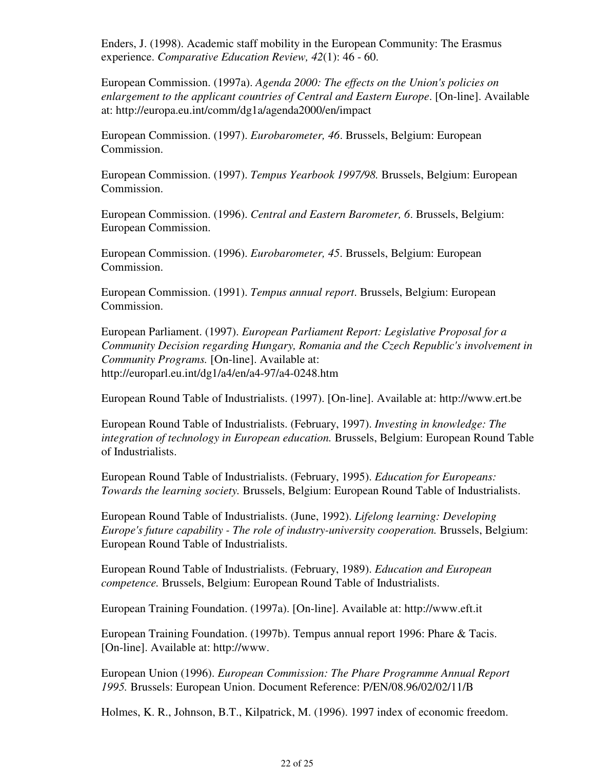Enders, J. (1998). Academic staff mobility in the European Community: The Erasmus experience. *Comparative Education Review, 42*(1): 46 - 60.

European Commission. (1997a). *Agenda 2000: The effects on the Union's policies on enlargement to the applicant countries of Central and Eastern Europe*. [On-line]. Available at: http://europa.eu.int/comm/dg1a/agenda2000/en/impact

European Commission. (1997). *Eurobarometer, 46*. Brussels, Belgium: European Commission.

European Commission. (1997). *Tempus Yearbook 1997/98.* Brussels, Belgium: European Commission.

European Commission. (1996). *Central and Eastern Barometer, 6*. Brussels, Belgium: European Commission.

European Commission. (1996). *Eurobarometer, 45*. Brussels, Belgium: European Commission.

European Commission. (1991). *Tempus annual report*. Brussels, Belgium: European Commission.

European Parliament. (1997). *European Parliament Report: Legislative Proposal for a Community Decision regarding Hungary, Romania and the Czech Republic's involvement in Community Programs.* [On-line]. Available at: http://europarl.eu.int/dg1/a4/en/a4-97/a4-0248.htm

European Round Table of Industrialists. (1997). [On-line]. Available at: http://www.ert.be

European Round Table of Industrialists. (February, 1997). *Investing in knowledge: The integration of technology in European education.* Brussels, Belgium: European Round Table of Industrialists.

European Round Table of Industrialists. (February, 1995). *Education for Europeans: Towards the learning society.* Brussels, Belgium: European Round Table of Industrialists.

European Round Table of Industrialists. (June, 1992). *Lifelong learning: Developing Europe's future capability - The role of industry-university cooperation.* Brussels, Belgium: European Round Table of Industrialists.

European Round Table of Industrialists. (February, 1989). *Education and European competence.* Brussels, Belgium: European Round Table of Industrialists.

European Training Foundation. (1997a). [On-line]. Available at: http://www.eft.it

European Training Foundation. (1997b). Tempus annual report 1996: Phare & Tacis. [On-line]. Available at: http://www.

European Union (1996). *European Commission: The Phare Programme Annual Report 1995.* Brussels: European Union. Document Reference: P/EN/08.96/02/02/11/B

Holmes, K. R., Johnson, B.T., Kilpatrick, M. (1996). 1997 index of economic freedom.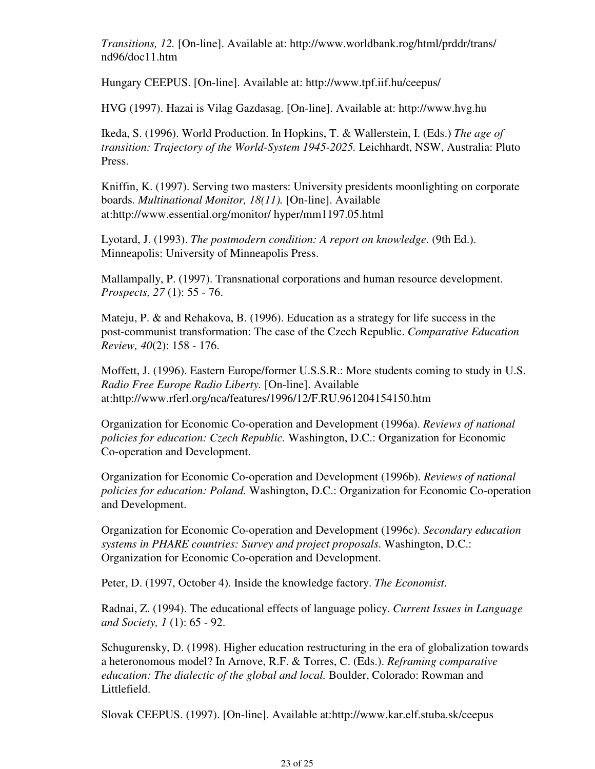*Transitions, 12.* [On-line]. Available at: http://www.worldbank.rog/html/prddr/trans/ nd96/doc11.htm

Hungary CEEPUS. [On-line]. Available at: http://www.tpf.iif.hu/ceepus/

HVG (1997). Hazai is Vilag Gazdasag. [On-line]. Available at: http://www.hvg.hu

Ikeda, S. (1996). World Production. In Hopkins, T. & Wallerstein, I. (Eds.) *The age of transition: Trajectory of the World-System 1945-2025.* Leichhardt, NSW, Australia: Pluto Press.

Kniffin, K. (1997). Serving two masters: University presidents moonlighting on corporate boards. *Multinational Monitor, 18(11).* [On-line]. Available at:http://www.essential.org/monitor/ hyper/mm1197.05.html

Lyotard, J. (1993). *The postmodern condition: A report on knowledge*. (9th Ed.). Minneapolis: University of Minneapolis Press.

Mallampally, P. (1997). Transnational corporations and human resource development. *Prospects, 27* (1): 55 - 76.

Mateju, P. & and Rehakova, B. (1996). Education as a strategy for life success in the post-communist transformation: The case of the Czech Republic. *Comparative Education Review, 40*(2): 158 - 176.

Moffett, J. (1996). Eastern Europe/former U.S.S.R.: More students coming to study in U.S. *Radio Free Europe Radio Liberty.* [On-line]. Available at:http://www.rferl.org/nca/features/1996/12/F.RU.961204154150.htm

Organization for Economic Co-operation and Development (1996a). *Reviews of national policies for education: Czech Republic.* Washington, D.C.: Organization for Economic Co-operation and Development.

Organization for Economic Co-operation and Development (1996b). *Reviews of national policies for education: Poland.* Washington, D.C.: Organization for Economic Co-operation and Development.

Organization for Economic Co-operation and Development (1996c). *Secondary education systems in PHARE countries: Survey and project proposals*. Washington, D.C.: Organization for Economic Co-operation and Development.

Peter, D. (1997, October 4). Inside the knowledge factory. *The Economist*.

Radnai, Z. (1994). The educational effects of language policy. *Current Issues in Language and Society, 1* (1): 65 - 92.

Schugurensky, D. (1998). Higher education restructuring in the era of globalization towards a heteronomous model? In Arnove, R.F. & Torres, C. (Eds.). *Reframing comparative education: The dialectic of the global and local.* Boulder, Colorado: Rowman and Littlefield.

Slovak CEEPUS. (1997). [On-line]. Available at:http://www.kar.elf.stuba.sk/ceepus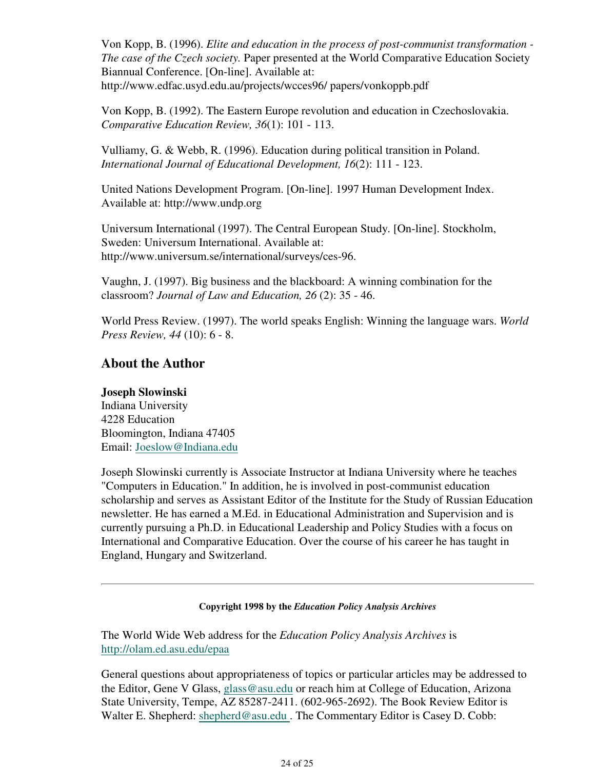Von Kopp, B. (1996). *Elite and education in the process of post-communist transformation - The case of the Czech society.* Paper presented at the World Comparative Education Society Biannual Conference. [On-line]. Available at: http://www.edfac.usyd.edu.au/projects/wcces96/ papers/vonkoppb.pdf

Von Kopp, B. (1992). The Eastern Europe revolution and education in Czechoslovakia. *Comparative Education Review, 36*(1): 101 - 113.

Vulliamy, G. & Webb, R. (1996). Education during political transition in Poland. *International Journal of Educational Development, 16*(2): 111 - 123.

United Nations Development Program. [On-line]. 1997 Human Development Index. Available at: http://www.undp.org

Universum International (1997). The Central European Study. [On-line]. Stockholm, Sweden: Universum International. Available at: http://www.universum.se/international/surveys/ces-96.

Vaughn, J. (1997). Big business and the blackboard: A winning combination for the classroom? *Journal of Law and Education, 26* (2): 35 - 46.

World Press Review. (1997). The world speaks English: Winning the language wars. *World Press Review, 44* (10): 6 - 8.

## **About the Author**

#### **Joseph Slowinski**

Indiana University 4228 Education Bloomington, Indiana 47405 Email: Joeslow@Indiana.edu

Joseph Slowinski currently is Associate Instructor at Indiana University where he teaches "Computers in Education." In addition, he is involved in post-communist education scholarship and serves as Assistant Editor of the Institute for the Study of Russian Education newsletter. He has earned a M.Ed. in Educational Administration and Supervision and is currently pursuing a Ph.D. in Educational Leadership and Policy Studies with a focus on International and Comparative Education. Over the course of his career he has taught in England, Hungary and Switzerland.

**Copyright 1998 by the** *Education Policy Analysis Archives*

The World Wide Web address for the *Education Policy Analysis Archives* is http://olam.ed.asu.edu/epaa

General questions about appropriateness of topics or particular articles may be addressed to the Editor, Gene V Glass, glass@asu.edu or reach him at College of Education, Arizona State University, Tempe, AZ 85287-2411. (602-965-2692). The Book Review Editor is Walter E. Shepherd: shepherd@asu.edu. The Commentary Editor is Casey D. Cobb: